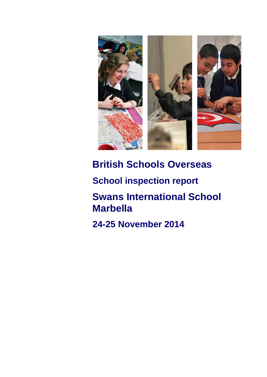

# **British Schools Overseas**

**School inspection report**

**Swans International School Marbella**

**24-25 November 2014**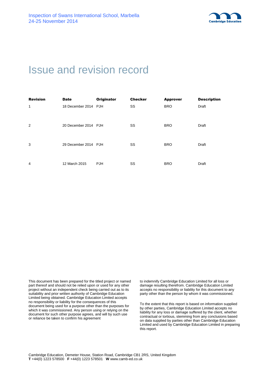

# Issue and revision record

| <b>Revision</b> | <b>Date</b>          | <b>Originator</b> | <b>Checker</b> | <b>Approver</b> | <b>Description</b> |
|-----------------|----------------------|-------------------|----------------|-----------------|--------------------|
| 1               | 18 December 2014 PJH |                   | SS             | <b>BRO</b>      | Draft              |
| $\overline{2}$  | 20 December 2014 PJH |                   | SS             | <b>BRO</b>      | Draft              |
| 3               | 29 December 2014 PJH |                   | SS             | <b>BRO</b>      | Draft              |
| 4               | 12 March 2015        | <b>PJH</b>        | SS             | <b>BRO</b>      | Draft              |

This document has been prepared for the titled project or named part thereof and should not be relied upon or used for any other project without an independent check being carried out as to its suitability and prior written authority of Cambridge Education Limited being obtained. Cambridge Education Limited accepts no responsibility or liability for the consequences of this document being used for a purpose other than the purposes for which it was commissioned. Any person using or relying on the document for such other purpose agrees, and will by such use or reliance be taken to confirm his agreement

to indemnify Cambridge Education Limited for all loss or damage resulting therefrom. Cambridge Education Limited accepts no responsibility or liability for this document to any party other than the person by whom it was commissioned.

To the extent that this report is based on information supplied by other parties, Cambridge Education Limited accepts no liability for any loss or damage suffered by the client, whether contractual or tortious, stemming from any conclusions based on data supplied by parties other than Cambridge Education Limited and used by Cambridge Education Limited in preparing this report.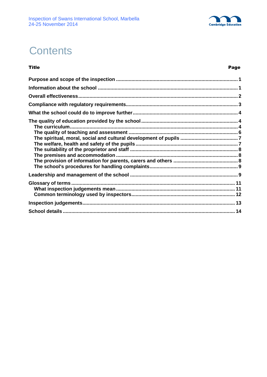

# **Contents**

**Title** 

#### Page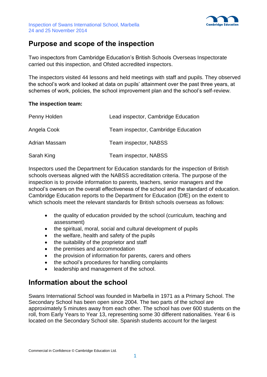

# **Purpose and scope of the inspection**

Two inspectors from Cambridge Education's British Schools Overseas Inspectorate carried out this inspection, and Ofsted accredited inspectors.

The inspectors visited 44 lessons and held meetings with staff and pupils. They observed the school's work and looked at data on pupils' attainment over the past three years, at schemes of work, policies, the school improvement plan and the school's self-review.

#### **The inspection team:**

| Penny Holden  | Lead inspector, Cambridge Education |
|---------------|-------------------------------------|
| Angela Cook   | Team inspector, Cambridge Education |
| Adrian Massam | Team inspector, NABSS               |
| Sarah King    | Team inspector, NABSS               |

Inspectors used the Department for Education standards for the inspection of British schools overseas aligned with the NABSS accreditation criteria. The purpose of the inspection is to provide information to parents, teachers, senior managers and the school's owners on the overall effectiveness of the school and the standard of education. Cambridge Education reports to the Department for Education (DfE) on the extent to which schools meet the relevant standards for British schools overseas as follows:

- the quality of education provided by the school (curriculum, teaching and assessment)
- the spiritual, moral, social and cultural development of pupils
- the welfare, health and safety of the pupils
- the suitability of the proprietor and staff
- the premises and accommodation
- the provision of information for parents, carers and others
- the school's procedures for handling complaints
- leadership and management of the school.

# **Information about the school**

Swans International School was founded in Marbella in 1971 as a Primary School. The Secondary School has been open since 2004. The two parts of the school are approximately 5 minutes away from each other. The school has over 600 students on the roll, from Early Years to Year 13, representing some 30 different nationalities. Year 6 is located on the Secondary School site. Spanish students account for the largest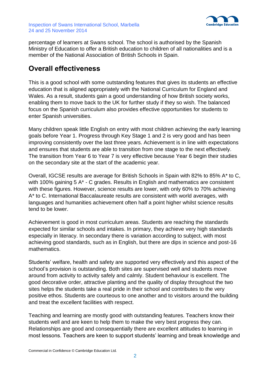

percentage of learners at Swans school. The school is authorised by the Spanish Ministry of Education to offer a British education to children of all nationalities and is a member of the National Association of British Schools in Spain.

# **Overall effectiveness**

This is a good school with some outstanding features that gives its students an effective education that is aligned appropriately with the National Curriculum for England and Wales. As a result, students gain a good understanding of how British society works, enabling them to move back to the UK for further study if they so wish. The balanced focus on the Spanish curriculum also provides effective opportunities for students to enter Spanish universities.

Many children speak little English on entry with most children achieving the early learning goals before Year 1. Progress through Key Stage 1 and 2 is very good and has been improving consistently over the last three years. Achievement is in line with expectations and ensures that students are able to transition from one stage to the next effectively. The transition from Year 6 to Year 7 is very effective because Year 6 begin their studies on the secondary site at the start of the academic year.

Overall, IGCSE results are average for British Schools in Spain with 82% to 85% A\* to C, with 100% gaining 5 A\* - C grades. Results in English and mathematics are consistent with these figures. However, science results are lower, with only 60% to 70% achieving A\* to C. International Baccalaureate results are consistent with world averages, with languages and humanities achievement often half a point higher whilst science results tend to be lower.

Achievement is good in most curriculum areas. Students are reaching the standards expected for similar schools and intakes. In primary, they achieve very high standards especially in literacy. In secondary there is variation according to subject, with most achieving good standards, such as in English, but there are dips in science and post-16 mathematics.

Students' welfare, health and safety are supported very effectively and this aspect of the school's provision is outstanding. Both sites are supervised well and students move around from activity to activity safely and calmly. Student behaviour is excellent. The good decorative order, attractive planting and the quality of display throughout the two sites helps the students take a real pride in their school and contributes to the very positive ethos. Students are courteous to one another and to visitors around the building and treat the excellent facilities with respect.

Teaching and learning are mostly good with outstanding features. Teachers know their students well and are keen to help them to make the very best progress they can. Relationships are good and consequentially there are excellent attitudes to learning in most lessons. Teachers are keen to support students' learning and break knowledge and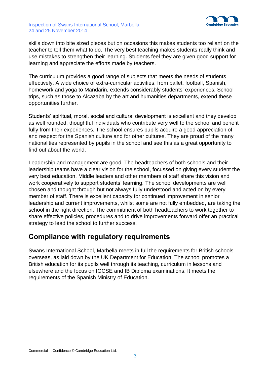

#### Inspection of Swans International School, Marbella 24 and 25 November 2014

skills down into bite sized pieces but on occasions this makes students too reliant on the teacher to tell them what to do. The very best teaching makes students really think and use mistakes to strengthen their learning. Students feel they are given good support for learning and appreciate the efforts made by teachers.

The curriculum provides a good range of subjects that meets the needs of students effectively. A wide choice of extra-curricular activities, from ballet, football, Spanish, homework and yoga to Mandarin, extends considerably students' experiences. School trips, such as those to Alcazaba by the art and humanities departments, extend these opportunities further.

Students' spiritual, moral, social and cultural development is excellent and they develop as well rounded, thoughtful individuals who contribute very well to the school and benefit fully from their experiences. The school ensures pupils acquire a good appreciation of and respect for the Spanish culture and for other cultures. They are proud of the many nationalities represented by pupils in the school and see this as a great opportunity to find out about the world.

Leadership and management are good. The headteachers of both schools and their leadership teams have a clear vision for the school, focussed on giving every student the very best education. Middle leaders and other members of staff share this vision and work cooperatively to support students' learning. The school developments are well chosen and thought through but not always fully understood and acted on by every member of staff. There is excellent capacity for continued improvement in senior leadership and current improvements, whilst some are not fully embedded, are taking the school in the right direction. The commitment of both headteachers to work together to share effective policies, procedures and to drive improvements forward offer an practical strategy to lead the school to further success.

## **Compliance with regulatory requirements**

Swans International School, Marbella meets in full the requirements for British schools overseas, as laid down by the UK Department for Education. The school promotes a British education for its pupils well through its teaching, curriculum in lessons and elsewhere and the focus on IGCSE and IB Diploma examinations. It meets the requirements of the Spanish Ministry of Education.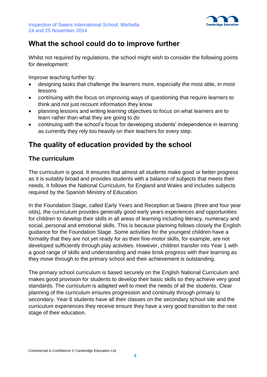

# **What the school could do to improve further**

Whilst not required by requiations, the school might wish to consider the following points for development:

Improve teaching further by:

- designing tasks that challenge the learners more, especially the most able, in most lessons
- continuing with the focus on improving ways of questioning that require learners to think and not just recount information they know
- planning lessons and writing learning objectives to focus on what learners are to learn rather than what they are going to do
- continuing with the school's focus for developing students' independence in learning as currently they rely too heavily on their teachers for every step.

# **The quality of education provided by the school**

## **The curriculum**

The curriculum is good. It ensures that almost all students make good or better progress as it is suitably broad and provides students with a balance of subjects that meets their needs. It follows the National Curriculum, for England and Wales and includes subjects required by the Spanish Ministry of Education.

In the Foundation Stage, called Early Years and Reception at Swans (three and four year olds), the curriculum provides generally good early years experiences and opportunities for children to develop their skills in all areas of learning including literacy, numeracy and social, personal and emotional skills. This is because planning follows closely the English guidance for the Foundation Stage. Some activities for the youngest children have a formality that they are not yet ready for as their fine-motor skills, for example, are not developed sufficiently through play activities. However, children transfer into Year 1 with a good range of skills and understanding and make brisk progress with their learning as they move through to the primary school and their achievement is outstanding.

The primary school curriculum is based securely on the English National Curriculum and makes good provision for students to develop their basic skills so they achieve very good standards*.* The curriculum is adapted well to meet the needs of all the students. Clear planning of the curriculum ensures progression and continuity through primary to secondary. Year 6 students have all their classes on the secondary school site and the curriculum experiences they receive ensure they have a very good transition to the next stage of their education.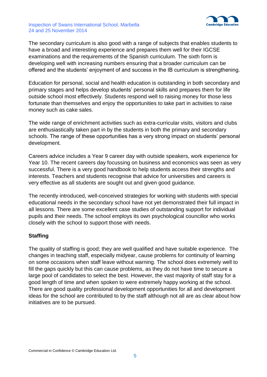

#### Inspection of Swans International School, Marbella 24 and 25 November 2014

The secondary curriculum is also good with a range of subjects that enables students to have a broad and interesting experience and prepares them well for their IGCSE examinations and the requirements of the Spanish curriculum. The sixth form is developing well with increasing numbers ensuring that a broader curriculum can be offered and the students' enjoyment of and success in the IB curriculum is strengthening.

Education for personal, social and health education is outstanding in both secondary and primary stages and helps develop students' personal skills and prepares them for life outside school most effectively. Students respond well to raising money for those less fortunate than themselves and enjoy the opportunities to take part in activities to raise money such as cake sales.

The wide range of enrichment activities such as extra-curricular visits, visitors and clubs are enthusiastically taken part in by the students in both the primary and secondary schools. The range of these opportunities has a very strong impact on students' personal development.

Careers advice includes a Year 9 career day with outside speakers, work experience for Year 10. The recent careers day focussing on business and economics was seen as very successful. There is a very good handbook to help students access their strengths and interests. Teachers and students recognise that advice for universities and careers is very effective as all students are sought out and given good guidance.

The recently introduced, well-conceived strategies for working with students with special educational needs in the secondary school have not yet demonstrated their full impact in all lessons. There are some excellent case studies of outstanding support for individual pupils and their needs. The school employs its own psychological councillor who works closely with the school to support those with needs.

#### **Staffing**

The quality of staffing is good; they are well qualified and have suitable experience. The changes in teaching staff, especially midyear, cause problems for continuity of learning on some occasions when staff leave without warning. The school does extremely well to fill the gaps quickly but this can cause problems, as they do not have time to secure a large pool of candidates to select the best. However, the vast majority of staff stay for a good length of time and when spoken to were extremely happy working at the school. There are good quality professional development opportunities for all and development ideas for the school are contributed to by the staff although not all are as clear about how initiatives are to be pursued.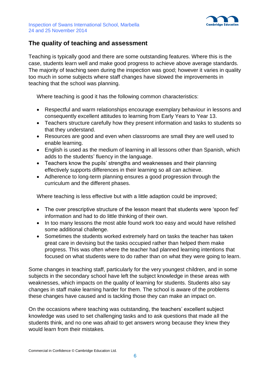



#### **The quality of teaching and assessment**

Teaching is typically good and there are some outstanding features. Where this is the case, students learn well and make good progress to achieve above average standards. The majority of teaching seen during the inspection was good; however it varies in quality too much in some subjects where staff changes have slowed the improvements in teaching that the school was planning.

Where teaching is good it has the following common characteristics:

- Respectful and warm relationships encourage exemplary behaviour in lessons and consequently excellent attitudes to learning from Early Years to Year 13.
- Teachers structure carefully how they present information and tasks to students so that they understand.
- Resources are good and even when classrooms are small they are well used to enable learning.
- English is used as the medium of learning in all lessons other than Spanish, which adds to the students' fluency in the language.
- Teachers know the pupils' strengths and weaknesses and their planning effectively supports differences in their learning so all can achieve.
- Adherence to long-term planning ensures a good progression through the curriculum and the different phases.

Where teaching is less effective but with a little adaption could be improved;

- The over prescriptive structure of the lesson meant that students were 'spoon fed' information and had to do little thinking of their own.
- In too many lessons the most able found work too easy and would have relished some additional challenge.
- Sometimes the students worked extremely hard on tasks the teacher has taken great care in devising but the tasks occupied rather than helped them make progress. This was often where the teacher had planned learning intentions that focused on what students were to do rather than on what they were going to learn.

Some changes in teaching staff, particularly for the very youngest children, and in some subjects in the secondary school have left the subject knowledge in these areas with weaknesses, which impacts on the quality of learning for students. Students also say changes in staff make learning harder for them. The school is aware of the problems these changes have caused and is tackling those they can make an impact on.

On the occasions where teaching was outstanding, the teachers' excellent subject knowledge was used to set challenging tasks and to ask questions that made all the students think, and no one was afraid to get answers wrong because they knew they would learn from their mistakes*.*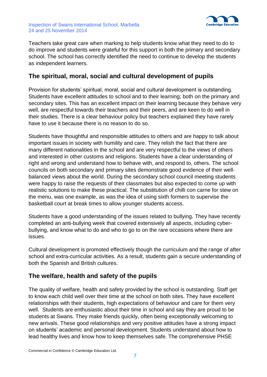



Teachers take great care when marking to help students know what they need to do to do improve and students were grateful for this support in both the primary and secondary school. The school has correctly identified the need to continue to develop the students as independent learners.

#### **The spiritual, moral, social and cultural development of pupils**

Provision for students' spiritual, moral, social and cultural development is outstanding. Students have excellent attitudes to school and to their learning; both on the primary and secondary sites. This has an excellent impact on their learning because they behave very well, are respectful towards their teachers and their peers, and are keen to do well in their studies. There is a clear behaviour policy but teachers explained they have rarely have to use it because there is no reason to do so.

Students have thoughtful and responsible attitudes to others and are happy to talk about important issues in society with humility and care. They relish the fact that there are many different nationalities in the school and are very respectful to the views of others and interested in other customs and religions. Students have a clear understanding of right and wrong and understand how to behave with, and respond to, others. The school councils on both secondary and primary sites demonstrate good evidence of their wellbalanced views about the world. During the secondary school council meeting students were happy to raise the requests of their classmates but also expected to come up with realistic solutions to make these practical. The substitution of chilli con carne for stew on the menu, was one example, as was the idea of using sixth formers to supervise the basketball court at break times to allow younger students access.

Students have a good understanding of the issues related to bullying. They have recently completed an anti-bullying week that covered extensively all aspects, including cyberbullying, and know what to do and who to go to on the rare occasions where there are issues.

Cultural development is promoted effectively though the curriculum and the range of after school and extra-curricular activities. As a result, students gain a secure understanding of both the Spanish and British cultures.

#### **The welfare, health and safety of the pupils**

The quality of welfare, health and safety provided by the school is outstanding. Staff get to know each child well over their time at the school on both sites. They have excellent relationships with their students, high expectations of behaviour and care for them very well. Students are enthusiastic about their time in school and say they are proud to be students at Swans. They make friends quickly, often being exceptionally welcoming to new arrivals. These good relationships and very positive attitudes have a strong impact on students' academic and personal development. Students understand about how to lead healthy lives and know how to keep themselves safe. The comprehensive PHSE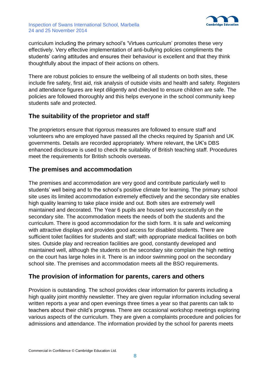



curriculum including the primary school's 'Virtues curriculum' promotes these very effectively. Very effective implementation of anti-bullying policies compliments the students' caring attitudes and ensures their behaviour is excellent and that they think thoughtfully about the impact of their actions on others.

There are robust policies to ensure the wellbeing of all students on both sites, these include fire safety, first aid, risk analysis of outside visits and health and safety. Registers and attendance figures are kept diligently and checked to ensure children are safe. The policies are followed thoroughly and this helps everyone in the school community keep students safe and protected.

### **The suitability of the proprietor and staff**

The proprietors ensure that rigorous measures are followed to ensure staff and volunteers who are employed have passed all the checks required by Spanish and UK governments. Details are recorded appropriately. Where relevant, the UK's DBS enhanced disclosure is used to check the suitability of British teaching staff. Procedures meet the requirements for British schools overseas.

### **The premises and accommodation**

The premises and accommodation are very good and contribute particularly well to students' well being and to the school's positive climate for learning. The primary school site uses its limited accommodation extremely effectively and the secondary site enables high quality learning to take place inside and out. Both sites are extremely well maintained and decorated. The Year 6 pupils are housed very successfully on the secondary site. The accommodation meets the needs of both the students and the curriculum. There is good accommodation for the sixth form. It is safe and welcoming with attractive displays and provides good access for disabled students. There are sufficient toilet facilities for students and staff; with appropriate medical facilities on both sites. Outside play and recreation facilities are good, constantly developed and maintained well, although the students on the secondary site complain the high netting on the court has large holes in it. There is an indoor swimming pool on the secondary school site. The premises and accommodation meets all the BSO requirements.

#### **The provision of information for parents, carers and others**

Provision is outstanding. The school provides clear information for parents including a high quality joint monthly newsletter. They are given regular information including several written reports a year and open evenings three times a year so that parents can talk to teachers about their child's progress. There are occasional workshop meetings exploring various aspects of the curriculum. They are given a complaints procedure and policies for admissions and attendance. The information provided by the school for parents meets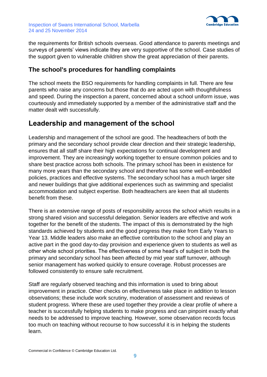



the requirements for British schools overseas. Good attendance to parents meetings and surveys of parents' views indicate they are very supportive of the school. Case studies of the support given to vulnerable children show the great appreciation of their parents.

#### **The school's procedures for handling complaints**

The school meets the BSO requirements for handling complaints in full. There are few parents who raise any concerns but those that do are acted upon with thoughtfulness and speed. During the inspection a parent, concerned about a school uniform issue, was courteously and immediately supported by a member of the administrative staff and the matter dealt with successfully.

## **Leadership and management of the school**

Leadership and management of the school are good. The headteachers of both the primary and the secondary school provide clear direction and their strategic leadership, ensures that all staff share their high expectations for continual development and improvement. They are increasingly working together to ensure common policies and to share best practice across both schools. The primary school has been in existence for many more years than the secondary school and therefore has some well-embedded policies, practices and effective systems. The secondary school has a much larger site and newer buildings that give additional experiences such as swimming and specialist accommodation and subject expertise. Both headteachers are keen that all students benefit from these.

There is an extensive range of posts of responsibility across the school which results in a strong shared vision and successful delegation. Senior leaders are effective and work together for the benefit of the students. The impact of this is demonstrated by the high standards achieved by students and the good progress they make from Early Years to Year 13. Middle leaders also make an effective contribution to the school and play an active part in the good day-to-day provision and experience given to students as well as other whole school priorities. The effectiveness of some head's of subject in both the primary and secondary school has been affected by mid year staff turnover, although senior management has worked quickly to ensure coverage. Robust processes are followed consistently to ensure safe recruitment.

Staff are regularly observed teaching and this information is used to bring about improvement in practice. Other checks on effectiveness take place in addition to lesson observations; these include work scrutiny, moderation of assessment and reviews of student progress. Where these are used together they provide a clear profile of where a teacher is successfully helping students to make progress and can pinpoint exactly what needs to be addressed to improve teaching. However, some observation records focus too much on teaching without recourse to how successful it is in helping the students learn.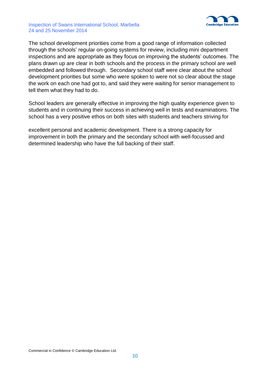#### Inspection of Swans International School, Marbella 24 and 25 November 2014



The school development priorities come from a good range of information collected through the schools' regular on-going systems for review, including mini department inspections and are appropriate as they focus on improving the students' outcomes. The plans drawn up are clear in both schools and the process in the primary school are well embedded and followed through. Secondary school staff were clear about the school development priorities but some who were spoken to were not so clear about the stage the work on each one had got to, and said they were waiting for senior management to tell them what they had to do.

School leaders are generally effective in improving the high quality experience given to students and in continuing their success in achieving well in tests and examinations. The school has a very positive ethos on both sites with students and teachers striving for

excellent personal and academic development. There is a strong capacity for improvement in both the primary and the secondary school with well-focussed and determined leadership who have the full backing of their staff.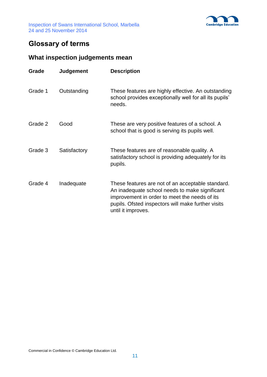

# **Glossary of terms**

# **What inspection judgements mean**

| Grade   | <b>Judgement</b> | <b>Description</b>                                                                                                                                                                                                               |
|---------|------------------|----------------------------------------------------------------------------------------------------------------------------------------------------------------------------------------------------------------------------------|
| Grade 1 | Outstanding      | These features are highly effective. An outstanding<br>school provides exceptionally well for all its pupils'<br>needs.                                                                                                          |
| Grade 2 | Good             | These are very positive features of a school. A<br>school that is good is serving its pupils well.                                                                                                                               |
| Grade 3 | Satisfactory     | These features are of reasonable quality. A<br>satisfactory school is providing adequately for its<br>pupils.                                                                                                                    |
| Grade 4 | Inadequate       | These features are not of an acceptable standard.<br>An inadequate school needs to make significant<br>improvement in order to meet the needs of its<br>pupils. Ofsted inspectors will make further visits<br>until it improves. |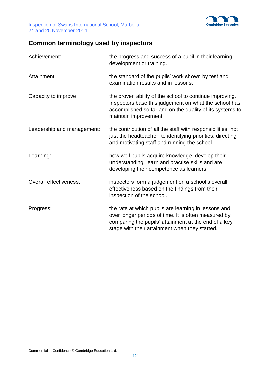

# **Common terminology used by inspectors**

| Achievement:                  | the progress and success of a pupil in their learning,<br>development or training.                                                                                                                                     |
|-------------------------------|------------------------------------------------------------------------------------------------------------------------------------------------------------------------------------------------------------------------|
| Attainment:                   | the standard of the pupils' work shown by test and<br>examination results and in lessons.                                                                                                                              |
| Capacity to improve:          | the proven ability of the school to continue improving.<br>Inspectors base this judgement on what the school has<br>accomplished so far and on the quality of its systems to<br>maintain improvement.                  |
| Leadership and management:    | the contribution of all the staff with responsibilities, not<br>just the headteacher, to identifying priorities, directing<br>and motivating staff and running the school.                                             |
| Learning:                     | how well pupils acquire knowledge, develop their<br>understanding, learn and practise skills and are<br>developing their competence as learners.                                                                       |
| <b>Overall effectiveness:</b> | inspectors form a judgement on a school's overall<br>effectiveness based on the findings from their<br>inspection of the school.                                                                                       |
| Progress:                     | the rate at which pupils are learning in lessons and<br>over longer periods of time. It is often measured by<br>comparing the pupils' attainment at the end of a key<br>stage with their attainment when they started. |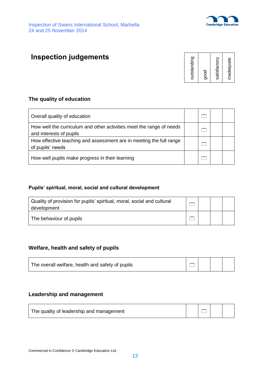

# **Inspection judgements**



#### **The quality of education**

| Overall quality of education                                                                    | $-$ |  |
|-------------------------------------------------------------------------------------------------|-----|--|
| How well the curriculum and other activities meet the range of needs<br>and interests of pupils | $-$ |  |
| How effective teaching and assessment are in meeting the full range<br>of pupils' needs         | $-$ |  |
| How well pupils make progress in their learning                                                 |     |  |

#### **Pupils' spiritual, moral, social and cultural development**

| Quality of provision for pupils' spiritual, moral, social and cultural<br>development |  |  |
|---------------------------------------------------------------------------------------|--|--|
| The behaviour of pupils                                                               |  |  |

#### **Welfare, health and safety of pupils**

| The overall welfare, health and safety of pupils |  |  |  |  |
|--------------------------------------------------|--|--|--|--|
|--------------------------------------------------|--|--|--|--|

#### **Leadership and management**

| The quality of leadership and management |  |  |  |  |
|------------------------------------------|--|--|--|--|
|------------------------------------------|--|--|--|--|